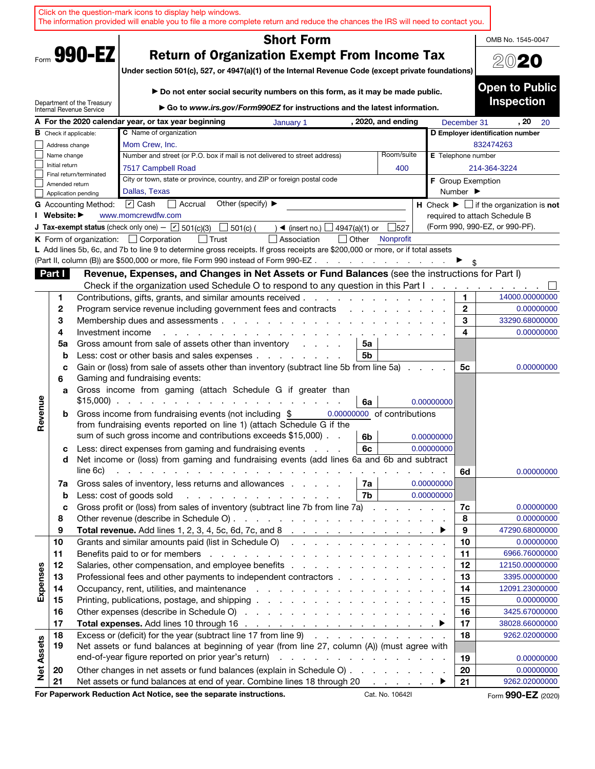|                   |                |                             |                                                                              | Click on the question-mark icons to display help windows.<br>The information provided will enable you to file a more complete return and reduce the chances the IRS will need to contact you.                                  |                                   |               |    |                                   |            |                              |                                                               |
|-------------------|----------------|-----------------------------|------------------------------------------------------------------------------|--------------------------------------------------------------------------------------------------------------------------------------------------------------------------------------------------------------------------------|-----------------------------------|---------------|----|-----------------------------------|------------|------------------------------|---------------------------------------------------------------|
|                   |                |                             |                                                                              |                                                                                                                                                                                                                                | <b>Short Form</b>                 |               |    |                                   |            |                              | OMB No. 1545-0047                                             |
|                   |                | Form 990-EZ                 |                                                                              | <b>Return of Organization Exempt From Income Tax</b><br>Under section 501(c), 527, or 4947(a)(1) of the Internal Revenue Code (except private foundations)                                                                     |                                   |               |    |                                   |            |                              | 2020                                                          |
|                   |                | Department of the Treasury  |                                                                              | ► Do not enter social security numbers on this form, as it may be made public.<br>► Go to www.irs.gov/Form990EZ for instructions and the latest information.                                                                   |                                   |               |    |                                   |            |                              | <b>Open to Public</b><br><b>Inspection</b>                    |
|                   |                | Internal Revenue Service    | A For the 2020 calendar year, or tax year beginning                          |                                                                                                                                                                                                                                | January 1                         |               |    | , 2020, and ending                |            | December 31                  | , 20<br>20                                                    |
| в                 |                | Check if applicable:        | <b>C</b> Name of organization                                                |                                                                                                                                                                                                                                |                                   |               |    |                                   |            |                              | D Employer identification number                              |
|                   | Address change |                             | Mom Crew, Inc.                                                               |                                                                                                                                                                                                                                |                                   |               |    |                                   |            |                              | 832474263                                                     |
|                   | Name change    |                             |                                                                              | Number and street (or P.O. box if mail is not delivered to street address)                                                                                                                                                     |                                   |               |    | Room/suite                        |            | <b>E</b> Telephone number    |                                                               |
|                   | Initial return |                             | 7517 Campbell Road                                                           |                                                                                                                                                                                                                                |                                   |               |    | 400                               |            |                              | 214-364-3224                                                  |
|                   | Amended return | Final return/terminated     |                                                                              | City or town, state or province, country, and ZIP or foreign postal code                                                                                                                                                       |                                   |               |    |                                   |            | <b>F</b> Group Exemption     |                                                               |
|                   |                | Application pending         | Dallas, Texas                                                                |                                                                                                                                                                                                                                |                                   |               |    |                                   |            | Number $\blacktriangleright$ |                                                               |
|                   |                | <b>G</b> Accounting Method: | $\boxed{\mathbf{v}}$ Cash                                                    | Other (specify) $\blacktriangleright$<br>Accrual                                                                                                                                                                               |                                   |               |    |                                   |            |                              | H Check $\blacktriangleright \Box$ if the organization is not |
|                   | I Website: ▶   |                             | www.momcrewdfw.com                                                           |                                                                                                                                                                                                                                |                                   |               |    |                                   |            |                              | required to attach Schedule B                                 |
|                   |                |                             | <b>J Tax-exempt status</b> (check only one) - $\boxed{\mathbf{v}}$ 501(c)(3) | 501(c) (                                                                                                                                                                                                                       | $\blacktriangleleft$ (insert no.) | 4947(a)(1) or |    | 527                               |            |                              | (Form 990, 990-EZ, or 990-PF).                                |
|                   |                |                             | <b>K</b> Form of organization: $\Box$ Corporation                            | <b>Trust</b>                                                                                                                                                                                                                   | Association                       | $\vert$ Other |    | Nonprofit                         |            |                              |                                                               |
|                   |                |                             |                                                                              | L Add lines 5b, 6c, and 7b to line 9 to determine gross receipts. If gross receipts are \$200,000 or more, or if total assets<br>(Part II, column (B)) are \$500,000 or more, file Form 990 instead of Form 990-EZ.            |                                   |               |    | and a strong control of the state |            |                              |                                                               |
|                   | Part I         |                             |                                                                              | Revenue, Expenses, and Changes in Net Assets or Fund Balances (see the instructions for Part I)                                                                                                                                |                                   |               |    |                                   |            |                              |                                                               |
|                   |                |                             |                                                                              | Check if the organization used Schedule O to respond to any question in this Part $1 \ldots \ldots$                                                                                                                            |                                   |               |    |                                   |            |                              |                                                               |
|                   | 1              |                             |                                                                              | Contributions, gifts, grants, and similar amounts received.                                                                                                                                                                    |                                   |               |    |                                   |            | 1                            | 14000.00000000                                                |
|                   | 2              |                             |                                                                              | Program service revenue including government fees and contracts                                                                                                                                                                |                                   |               |    |                                   |            | $\mathbf{2}$                 | 0.00000000                                                    |
|                   | 3              |                             |                                                                              | Membership dues and assessments                                                                                                                                                                                                |                                   |               |    |                                   |            | 3                            | 33290.68000000                                                |
|                   | 4              | Investment income           |                                                                              |                                                                                                                                                                                                                                |                                   |               |    |                                   |            | 4                            | 0.00000000                                                    |
|                   | 5a             |                             |                                                                              | Gross amount from sale of assets other than inventory                                                                                                                                                                          |                                   |               | 5a |                                   |            |                              |                                                               |
|                   | b              |                             |                                                                              | Less: cost or other basis and sales expenses                                                                                                                                                                                   |                                   |               | 5b |                                   |            |                              |                                                               |
|                   | c<br>6         |                             | Gaming and fundraising events:                                               | Gain or (loss) from sale of assets other than inventory (subtract line 5b from line 5a).                                                                                                                                       |                                   |               |    |                                   |            | 5с                           | 0.00000000                                                    |
|                   | a              |                             | $$15,000$                                                                    | Gross income from gaming (attach Schedule G if greater than                                                                                                                                                                    |                                   |               | 6a |                                   | 0.00000000 |                              |                                                               |
| Revenue           | b              |                             |                                                                              | Gross income from fundraising events (not including \$                                                                                                                                                                         |                                   |               |    | 0.00000000 of contributions       |            |                              |                                                               |
|                   |                |                             |                                                                              | from fundraising events reported on line 1) (attach Schedule G if the                                                                                                                                                          |                                   |               |    |                                   |            |                              |                                                               |
|                   |                |                             |                                                                              | sum of such gross income and contributions exceeds \$15,000).                                                                                                                                                                  |                                   |               | 6b |                                   | 0.00000000 |                              |                                                               |
|                   | с              |                             |                                                                              | Less: direct expenses from gaming and fundraising events                                                                                                                                                                       |                                   |               | 6с |                                   | 0.00000000 |                              |                                                               |
|                   | d              | line 6c)                    |                                                                              | Net income or (loss) from gaming and fundraising events (add lines 6a and 6b and subtract<br>والمتعاون والمتعاون والمتعاونة والمتعاونة والمتعاونة والمتعاونة والمتعاونة والمتعاونة                                             |                                   |               |    |                                   |            |                              |                                                               |
|                   | 7a             |                             |                                                                              | Gross sales of inventory, less returns and allowances                                                                                                                                                                          |                                   |               | 7a |                                   | 0.00000000 | 6d                           | 0.00000000                                                    |
|                   | $\mathbf b$    |                             | Less: cost of goods sold                                                     | and the contract of the contract of the contract of the contract of the contract of the contract of the contract of the contract of the contract of the contract of the contract of the contract of the contract of the contra |                                   |               | 7b |                                   | 0.00000000 |                              |                                                               |
|                   | c              |                             |                                                                              | Gross profit or (loss) from sales of inventory (subtract line 7b from line 7a)                                                                                                                                                 |                                   |               |    |                                   |            | 7c                           | 0.00000000                                                    |
|                   | 8              |                             |                                                                              |                                                                                                                                                                                                                                |                                   |               |    |                                   |            | 8                            | 0.00000000                                                    |
|                   | 9              |                             |                                                                              | Total revenue. Add lines 1, 2, 3, 4, 5c, 6d, 7c, and 8 $\ldots$ $\ldots$ $\ldots$ $\ldots$ $\ldots$ $\ldots$                                                                                                                   |                                   |               |    |                                   |            | 9                            | 47290.68000000                                                |
|                   | 10             |                             |                                                                              | Grants and similar amounts paid (list in Schedule O)                                                                                                                                                                           |                                   |               |    |                                   |            | 10                           | 0.00000000                                                    |
|                   | 11             |                             |                                                                              |                                                                                                                                                                                                                                |                                   |               |    |                                   |            | 11                           | 6966.76000000                                                 |
|                   | 12             |                             |                                                                              | Salaries, other compensation, and employee benefits                                                                                                                                                                            |                                   |               |    |                                   |            | 12                           | 12150.00000000                                                |
| Expenses          | 13             |                             |                                                                              | Professional fees and other payments to independent contractors                                                                                                                                                                |                                   |               |    |                                   |            | 13                           | 3395.00000000                                                 |
|                   | 14             |                             |                                                                              |                                                                                                                                                                                                                                |                                   |               |    |                                   |            | 14                           | 12091.23000000                                                |
|                   | 15<br>16       |                             |                                                                              |                                                                                                                                                                                                                                |                                   |               |    |                                   |            | 15<br>16                     | 0.00000000<br>3425.67000000                                   |
|                   | 17             |                             |                                                                              |                                                                                                                                                                                                                                |                                   |               |    |                                   |            | 17                           | 38028.66000000                                                |
|                   | 18             |                             |                                                                              | Excess or (deficit) for the year (subtract line 17 from line 9)                                                                                                                                                                |                                   |               |    |                                   |            | 18                           | 9262.02000000                                                 |
|                   | 19             |                             |                                                                              | Net assets or fund balances at beginning of year (from line 27, column (A)) (must agree with                                                                                                                                   |                                   |               |    |                                   |            |                              |                                                               |
|                   |                |                             |                                                                              |                                                                                                                                                                                                                                |                                   |               |    |                                   |            | 19                           | 0.00000000                                                    |
| <b>Net Assets</b> | 20             |                             |                                                                              | Other changes in net assets or fund balances (explain in Schedule O)                                                                                                                                                           |                                   |               |    |                                   |            | 20                           | 0.00000000                                                    |
|                   | 21             |                             |                                                                              | Net assets or fund balances at end of year. Combine lines 18 through 20 ▶                                                                                                                                                      |                                   |               |    |                                   |            | 21                           | 9262.02000000                                                 |
|                   |                |                             |                                                                              | For Paperwork Reduction Act Notice, see the separate instructions.                                                                                                                                                             |                                   |               |    | Cat. No. 10642I                   |            |                              | Form 990-EZ (2020)                                            |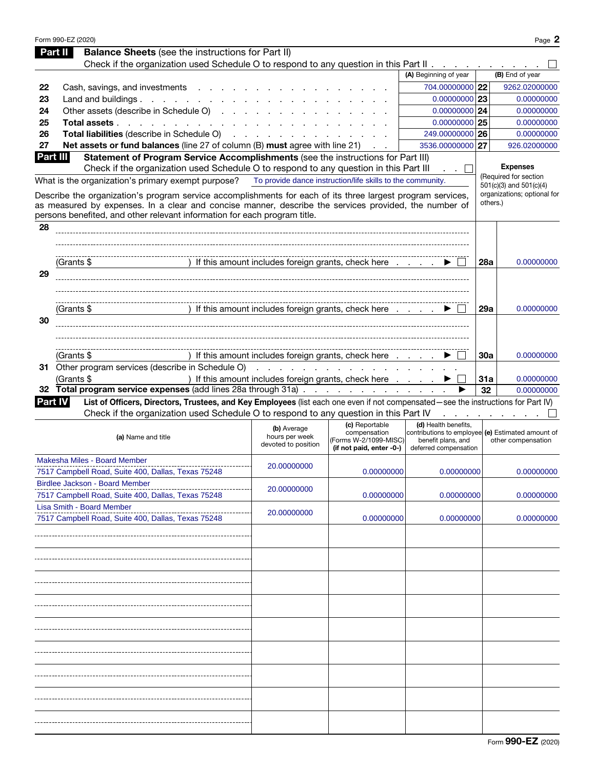|                | Form 990-EZ (2020)                                                                                                                                                                                                        |                                       |                                                            |                                                                           |            | Page 2                                               |
|----------------|---------------------------------------------------------------------------------------------------------------------------------------------------------------------------------------------------------------------------|---------------------------------------|------------------------------------------------------------|---------------------------------------------------------------------------|------------|------------------------------------------------------|
|                | <b>Balance Sheets</b> (see the instructions for Part II)<br>Part II                                                                                                                                                       |                                       |                                                            |                                                                           |            |                                                      |
|                | Check if the organization used Schedule O to respond to any question in this Part II                                                                                                                                      |                                       |                                                            |                                                                           |            |                                                      |
|                |                                                                                                                                                                                                                           |                                       |                                                            | (A) Beginning of year                                                     |            | (B) End of year                                      |
| 22             | Cash, savings, and investments                                                                                                                                                                                            |                                       |                                                            | 704.00000000 22                                                           |            | 9262.02000000                                        |
| 23             | Land and buildings. $\ldots$                                                                                                                                                                                              |                                       |                                                            | $0.00000000$ 23                                                           |            | 0.00000000                                           |
| 24             | Other assets (describe in Schedule O)                                                                                                                                                                                     |                                       |                                                            | $0.00000000$ 24                                                           |            | 0.00000000                                           |
| 25             | Total assets                                                                                                                                                                                                              |                                       |                                                            | $0.00000000$ 25                                                           |            | 0.00000000                                           |
| 26             | Total liabilities (describe in Schedule O)                                                                                                                                                                                |                                       |                                                            | 249.00000000 26                                                           |            | 0.00000000                                           |
| 27             | Net assets or fund balances (line 27 of column (B) must agree with line 21)                                                                                                                                               |                                       |                                                            | 3536.00000000 27                                                          |            | 926.02000000                                         |
| Part III       | Statement of Program Service Accomplishments (see the instructions for Part III)                                                                                                                                          |                                       |                                                            |                                                                           |            |                                                      |
|                | Check if the organization used Schedule O to respond to any question in this Part III                                                                                                                                     |                                       |                                                            |                                                                           |            | <b>Expenses</b>                                      |
|                | What is the organization's primary exempt purpose?                                                                                                                                                                        |                                       | To provide dance instruction/life skills to the community. |                                                                           |            | (Required for section<br>$501(c)(3)$ and $501(c)(4)$ |
|                | Describe the organization's program service accomplishments for each of its three largest program services,                                                                                                               |                                       |                                                            |                                                                           |            | organizations; optional for                          |
|                | as measured by expenses. In a clear and concise manner, describe the services provided, the number of                                                                                                                     |                                       |                                                            |                                                                           | others.)   |                                                      |
|                | persons benefited, and other relevant information for each program title.                                                                                                                                                 |                                       |                                                            |                                                                           |            |                                                      |
| 28             |                                                                                                                                                                                                                           |                                       |                                                            |                                                                           |            |                                                      |
|                |                                                                                                                                                                                                                           |                                       |                                                            |                                                                           |            |                                                      |
|                |                                                                                                                                                                                                                           |                                       |                                                            |                                                                           |            |                                                      |
|                | (Grants \$                                                                                                                                                                                                                |                                       | ) If this amount includes foreign grants, check here       |                                                                           | 28a        | 0.00000000                                           |
| 29             |                                                                                                                                                                                                                           |                                       |                                                            |                                                                           |            |                                                      |
|                |                                                                                                                                                                                                                           |                                       |                                                            |                                                                           |            |                                                      |
|                |                                                                                                                                                                                                                           |                                       |                                                            |                                                                           |            |                                                      |
|                | (Grants \$                                                                                                                                                                                                                |                                       | ) If this amount includes foreign grants, check here       |                                                                           | <b>29a</b> | 0.00000000                                           |
| 30             |                                                                                                                                                                                                                           |                                       |                                                            |                                                                           |            |                                                      |
|                |                                                                                                                                                                                                                           |                                       |                                                            |                                                                           |            |                                                      |
|                |                                                                                                                                                                                                                           |                                       |                                                            |                                                                           |            |                                                      |
|                | (Grants \$                                                                                                                                                                                                                |                                       | ) If this amount includes foreign grants, check here       |                                                                           | <b>30a</b> | 0.00000000                                           |
|                | 31 Other program services (describe in Schedule O)                                                                                                                                                                        |                                       |                                                            |                                                                           |            |                                                      |
|                | (Grants \$                                                                                                                                                                                                                |                                       | ) If this amount includes foreign grants, check here       |                                                                           | <b>31a</b> | 0.00000000                                           |
|                | 32 Total program service expenses (add lines 28a through 31a)                                                                                                                                                             |                                       |                                                            |                                                                           | 32         | 0.00000000                                           |
| <b>Part IV</b> | List of Officers, Directors, Trustees, and Key Employees (list each one even if not compensated-see the instructions for Part IV)<br>Check if the organization used Schedule O to respond to any question in this Part IV |                                       |                                                            |                                                                           |            |                                                      |
|                |                                                                                                                                                                                                                           |                                       |                                                            |                                                                           |            |                                                      |
|                |                                                                                                                                                                                                                           |                                       |                                                            |                                                                           |            | والمناول والمناول والمناولين                         |
|                |                                                                                                                                                                                                                           | (b) Average                           | (c) Reportable<br>compensation                             | (d) Health benefits.<br>contributions to employee (e) Estimated amount of |            |                                                      |
|                | (a) Name and title                                                                                                                                                                                                        | hours per week<br>devoted to position | (Forms W-2/1099-MISC)                                      | benefit plans, and                                                        |            | other compensation                                   |
|                |                                                                                                                                                                                                                           |                                       | (if not paid, enter -0-)                                   | deferred compensation                                                     |            |                                                      |
|                | Makesha Miles - Board Member                                                                                                                                                                                              | 20.00000000                           |                                                            |                                                                           |            |                                                      |
|                | 7517 Campbell Road, Suite 400, Dallas, Texas 75248                                                                                                                                                                        |                                       | 0.00000000                                                 | 0.00000000                                                                |            | 0.00000000                                           |
|                | <b>Birdlee Jackson - Board Member</b>                                                                                                                                                                                     | 20.00000000                           |                                                            |                                                                           |            | 0.00000000                                           |
|                | 7517 Campbell Road, Suite 400, Dallas, Texas 75248                                                                                                                                                                        |                                       | 0.00000000                                                 | 0.00000000                                                                |            |                                                      |
|                | Lisa Smith - Board Member<br>7517 Campbell Road, Suite 400, Dallas, Texas 75248                                                                                                                                           | 20.00000000                           | 0.00000000                                                 | 0.00000000                                                                |            | 0.00000000                                           |
|                |                                                                                                                                                                                                                           |                                       |                                                            |                                                                           |            |                                                      |
|                |                                                                                                                                                                                                                           |                                       |                                                            |                                                                           |            |                                                      |
|                |                                                                                                                                                                                                                           |                                       |                                                            |                                                                           |            |                                                      |
|                |                                                                                                                                                                                                                           |                                       |                                                            |                                                                           |            |                                                      |
|                |                                                                                                                                                                                                                           |                                       |                                                            |                                                                           |            |                                                      |
|                |                                                                                                                                                                                                                           |                                       |                                                            |                                                                           |            |                                                      |
|                |                                                                                                                                                                                                                           |                                       |                                                            |                                                                           |            |                                                      |
|                |                                                                                                                                                                                                                           |                                       |                                                            |                                                                           |            |                                                      |
|                |                                                                                                                                                                                                                           |                                       |                                                            |                                                                           |            |                                                      |
|                |                                                                                                                                                                                                                           |                                       |                                                            |                                                                           |            |                                                      |
|                |                                                                                                                                                                                                                           |                                       |                                                            |                                                                           |            |                                                      |
|                |                                                                                                                                                                                                                           |                                       |                                                            |                                                                           |            |                                                      |
|                |                                                                                                                                                                                                                           |                                       |                                                            |                                                                           |            |                                                      |
|                |                                                                                                                                                                                                                           |                                       |                                                            |                                                                           |            |                                                      |
|                |                                                                                                                                                                                                                           |                                       |                                                            |                                                                           |            |                                                      |
|                |                                                                                                                                                                                                                           |                                       |                                                            |                                                                           |            |                                                      |
|                |                                                                                                                                                                                                                           |                                       |                                                            |                                                                           |            |                                                      |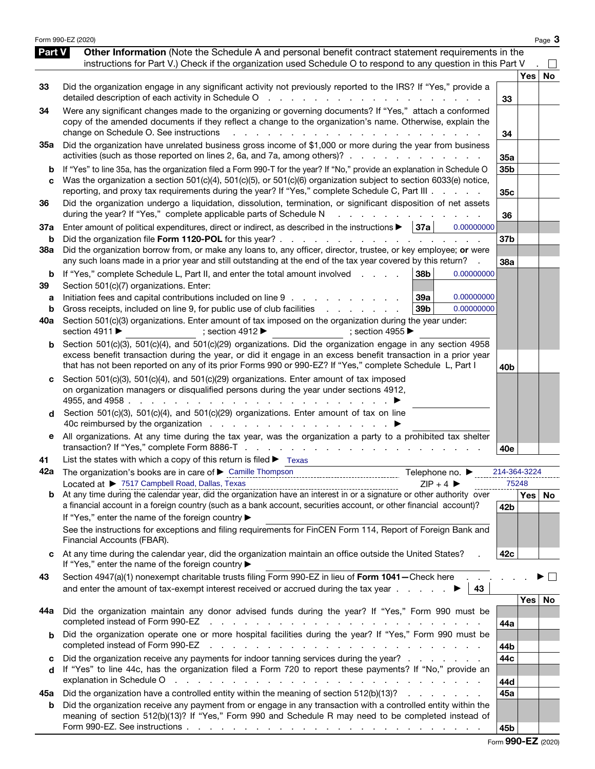|                          | Form 990-EZ (2020)                                                                                                                                                                                                                                                                                                                                                                                                                                                                                                                                                 |                       |                  | Page 3 |
|--------------------------|--------------------------------------------------------------------------------------------------------------------------------------------------------------------------------------------------------------------------------------------------------------------------------------------------------------------------------------------------------------------------------------------------------------------------------------------------------------------------------------------------------------------------------------------------------------------|-----------------------|------------------|--------|
| Part V                   | Other Information (Note the Schedule A and personal benefit contract statement requirements in the<br>instructions for Part V.) Check if the organization used Schedule O to respond to any question in this Part V                                                                                                                                                                                                                                                                                                                                                |                       |                  |        |
| 33                       | Did the organization engage in any significant activity not previously reported to the IRS? If "Yes," provide a<br>detailed description of each activity in Schedule O<br>and the company of the company                                                                                                                                                                                                                                                                                                                                                           | 33                    | <b>Yes</b>       | No     |
| 34                       | Were any significant changes made to the organizing or governing documents? If "Yes," attach a conformed<br>copy of the amended documents if they reflect a change to the organization's name. Otherwise, explain the<br>change on Schedule O. See instructions<br>$\mathbf{r}$ and $\mathbf{r}$                                                                                                                                                                                                                                                                   | 34                    |                  |        |
| 35a                      | Did the organization have unrelated business gross income of \$1,000 or more during the year from business<br>activities (such as those reported on lines 2, 6a, and 7a, among others)?                                                                                                                                                                                                                                                                                                                                                                            | 35a                   |                  |        |
| b<br>C                   | If "Yes" to line 35a, has the organization filed a Form 990-T for the year? If "No," provide an explanation in Schedule O<br>Was the organization a section 501(c)(4), 501(c)(5), or 501(c)(6) organization subject to section 6033(e) notice,<br>reporting, and proxy tax requirements during the year? If "Yes," complete Schedule C, Part III                                                                                                                                                                                                                   | 35b<br>35c            |                  |        |
| 36                       | Did the organization undergo a liquidation, dissolution, termination, or significant disposition of net assets<br>during the year? If "Yes," complete applicable parts of Schedule N                                                                                                                                                                                                                                                                                                                                                                               | 36                    |                  |        |
| 37a<br>b                 | Enter amount of political expenditures, direct or indirect, as described in the instructions $\blacktriangleright$   37a<br>0.00000000<br>Did the organization file Form 1120-POL for this year? .<br>the contract of the contract of the                                                                                                                                                                                                                                                                                                                          | 37 <sub>b</sub>       |                  |        |
| 38a                      | Did the organization borrow from, or make any loans to, any officer, director, trustee, or key employee; or were<br>any such loans made in a prior year and still outstanding at the end of the tax year covered by this return?                                                                                                                                                                                                                                                                                                                                   | 38a                   |                  |        |
| b<br>39<br>a<br>b<br>40a | 38b<br>If "Yes," complete Schedule L, Part II, and enter the total amount involved<br>0.00000000<br>Section 501(c)(7) organizations. Enter:<br>Initiation fees and capital contributions included on line 9<br>39a<br>0.00000000<br>Gross receipts, included on line 9, for public use of club facilities<br>39 <sub>b</sub><br>0.00000000<br>Section 501(c)(3) organizations. Enter amount of tax imposed on the organization during the year under:<br>section 4911 ▶<br>; section 4912 $\blacktriangleright$<br>; section 4955 $\blacktriangleright$            |                       |                  |        |
| b                        | Section 501(c)(3), 501(c)(4), and 501(c)(29) organizations. Did the organization engage in any section 4958<br>excess benefit transaction during the year, or did it engage in an excess benefit transaction in a prior year<br>that has not been reported on any of its prior Forms 990 or 990-EZ? If "Yes," complete Schedule L, Part I                                                                                                                                                                                                                          | 40 <sub>b</sub>       |                  |        |
| d<br>е                   | Section 501(c)(3), 501(c)(4), and 501(c)(29) organizations. Enter amount of tax imposed<br>on organization managers or disqualified persons during the year under sections 4912,<br>4955, and 4958.<br>Section 501(c)(3), 501(c)(4), and 501(c)(29) organizations. Enter amount of tax on line<br>All organizations. At any time during the tax year, was the organization a party to a prohibited tax shelter                                                                                                                                                     |                       |                  |        |
|                          | List the states with which a copy of this return is filed $\blacktriangleright$ Texas                                                                                                                                                                                                                                                                                                                                                                                                                                                                              | 40e                   |                  |        |
| 41<br>42a                | Telephone no. ▶<br>Located at ▶ 7517 Campbell Road, Dallas, Texas<br>$ZIP + 4$                                                                                                                                                                                                                                                                                                                                                                                                                                                                                     | 214-364-3224<br>75248 |                  |        |
|                          | Located at $\triangleright$ 1917 Letting the calendar year, did the organization have an interest in or a signature or other authority over<br>b At any time during the calendar year, did the organization have an interest in or a signa<br>a financial account in a foreign country (such as a bank account, securities account, or other financial account)?<br>If "Yes," enter the name of the foreign country ▶<br>See the instructions for exceptions and filing requirements for FinCEN Form 114, Report of Foreign Bank and<br>Financial Accounts (FBAR). | 42b                   | Yes   No         |        |
| c                        | At any time during the calendar year, did the organization maintain an office outside the United States?<br>If "Yes," enter the name of the foreign country ▶                                                                                                                                                                                                                                                                                                                                                                                                      | 42c                   |                  |        |
| 43                       | Section 4947(a)(1) nonexempt charitable trusts filing Form 990-EZ in lieu of Form 1041-Check here<br>and enter the amount of tax-exempt interest received or accrued during the tax year $\ldots$<br>43                                                                                                                                                                                                                                                                                                                                                            |                       |                  |        |
| 44a                      | Did the organization maintain any donor advised funds during the year? If "Yes," Form 990 must be<br>completed instead of Form 990-EZ<br>the contract of the contract of the contract of the contract of                                                                                                                                                                                                                                                                                                                                                           | 44a                   | Yes <sub>1</sub> | No     |
| b                        | Did the organization operate one or more hospital facilities during the year? If "Yes," Form 990 must be<br>completed instead of Form 990-EZ<br>the contract of the contract of the contract of the contract of the contract of                                                                                                                                                                                                                                                                                                                                    | 44b                   |                  |        |
| c<br>d                   | Did the organization receive any payments for indoor tanning services during the year?<br>If "Yes" to line 44c, has the organization filed a Form 720 to report these payments? If "No," provide an<br>explanation in Schedule O<br>a construction of the construction of the construction of the construction of the construction of the construction of the construction of the construction of the construction of the construction of the construction of the                                                                                                  | 44c<br>44d            |                  |        |
| 45а<br>b                 | Did the organization have a controlled entity within the meaning of section 512(b)(13)?<br>Did the organization receive any payment from or engage in any transaction with a controlled entity within the<br>meaning of section 512(b)(13)? If "Yes," Form 990 and Schedule R may need to be completed instead of                                                                                                                                                                                                                                                  | 45a<br>45b            |                  |        |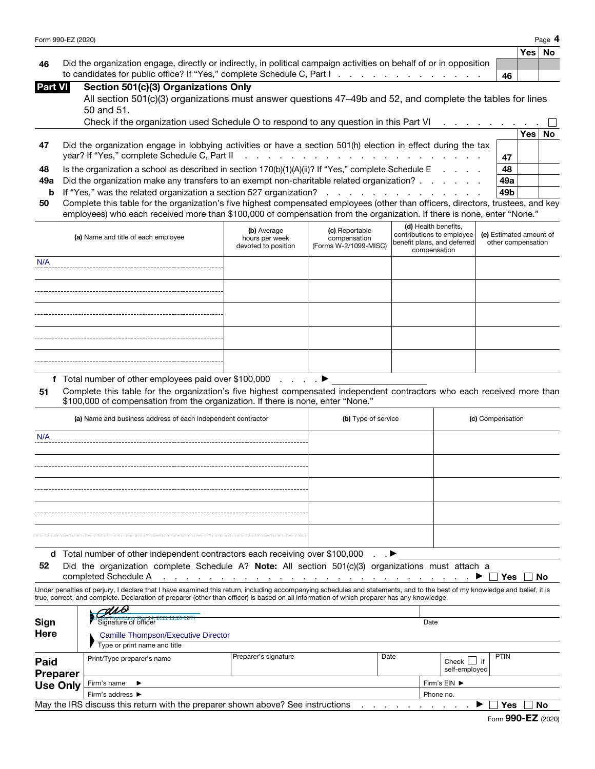|      |                                                                                                                     |    | Yes   No |  |
|------|---------------------------------------------------------------------------------------------------------------------|----|----------|--|
| - 46 | Did the organization engage, directly or indirectly, in political campaign activities on behalf of or in opposition |    |          |  |
|      | to candidates for public office? If "Yes," complete Schedule C, Part I.                                             | 46 |          |  |

| <b>Part VI</b> | Section 501(c)(3) Organizations Only                                                                       |
|----------------|------------------------------------------------------------------------------------------------------------|
|                | All section 501(c)(3) organizations must answer questions 47-49b and 52, and complete the tables for lines |
|                | $50$ and $51$ .                                                                                            |

|    | Check if the organization used Schedule O to respond to any question in this Part VI                          |                 |      |           |
|----|---------------------------------------------------------------------------------------------------------------|-----------------|------|-----------|
|    |                                                                                                               |                 | Yes⊺ | <b>No</b> |
| 47 | Did the organization engage in lobbying activities or have a section 501(h) election in effect during the tax |                 |      |           |
|    |                                                                                                               | 47              |      |           |
| 48 | Is the organization a school as described in section $170(b)(1)(A)(ii)$ ? If "Yes," complete Schedule E       | 48              |      |           |
|    | 49a Did the organization make any transfers to an exempt non-charitable related organization?                 | 49a             |      |           |
|    | <b>b</b> If "Yes," was the related organization a section 527 organization?                                   | 49 <sub>b</sub> |      |           |
|    |                                                                                                               |                 |      |           |

| 50 Complete this table for the organization's five highest compensated employees (other than officers, directors, trustees, and key |
|-------------------------------------------------------------------------------------------------------------------------------------|
| employees) who each received more than \$100,000 of compensation from the organization. If there is none, enter "None."             |

|     | (a) Name and title of each employee                                                                                                                                                                         | (b) Average<br>hours per week<br>devoted to position | (c) Reportable<br>compensation<br>(Forms W-2/1099-MISC) | (d) Health benefits,<br>contributions to employee<br>benefit plans, and deferred<br>compensation | (e) Estimated amount of<br>other compensation |
|-----|-------------------------------------------------------------------------------------------------------------------------------------------------------------------------------------------------------------|------------------------------------------------------|---------------------------------------------------------|--------------------------------------------------------------------------------------------------|-----------------------------------------------|
| N/A |                                                                                                                                                                                                             |                                                      |                                                         |                                                                                                  |                                               |
|     |                                                                                                                                                                                                             |                                                      |                                                         |                                                                                                  |                                               |
|     |                                                                                                                                                                                                             |                                                      |                                                         |                                                                                                  |                                               |
|     |                                                                                                                                                                                                             |                                                      |                                                         |                                                                                                  |                                               |
|     |                                                                                                                                                                                                             |                                                      |                                                         |                                                                                                  |                                               |
|     | f Total number of other employees paid over \$100,000 $\ldots$                                                                                                                                              |                                                      |                                                         |                                                                                                  |                                               |
| 51  | Complete this table for the organization's five highest compensated independent contractors who each received more than<br>\$100,000 of compensation from the organization. If there is none, enter "None." |                                                      |                                                         |                                                                                                  |                                               |
|     | (a) Name and business address of each independent contractor                                                                                                                                                |                                                      | (b) Type of service                                     |                                                                                                  | (c) Compensation                              |
| N/A |                                                                                                                                                                                                             |                                                      |                                                         |                                                                                                  |                                               |

| (a) Name and business address of each independent contractor                  | (b) Type of service | (c) Compensation |
|-------------------------------------------------------------------------------|---------------------|------------------|
| N/A                                                                           |                     |                  |
|                                                                               |                     |                  |
|                                                                               |                     |                  |
|                                                                               |                     |                  |
|                                                                               |                     |                  |
|                                                                               |                     |                  |
| d Total number of other independent contractors each receiving over \$100,000 | $\cdot$ $\cdot$     |                  |

52 Did the organization complete Schedule A? Note: All section 501(c)(3) organizations must attach a

completed Schedule A . . . . . . . . . . . . . . . . . . . . . . . . . . . ▶ Yes No

Under penalties of perjury, I declare that I have examined this return, including accompanying schedules and statements, and to the best of my knowledge and belief, it is true, correct, and complete. Declaration of preparer (other than officer) is based on all information of which preparer has any knowledge.  $\overline{u}$ 

| Sign<br><b>Here</b>            | $C^{U\setminus U}$<br>ainme mompson (Apr 14, 2021 11:26 CDT)<br>Signature of officer<br><b>Camille Thompson/Executive Director</b> |                      |      | Date      |                        |             |
|--------------------------------|------------------------------------------------------------------------------------------------------------------------------------|----------------------|------|-----------|------------------------|-------------|
|                                | Type or print name and title                                                                                                       |                      |      |           |                        |             |
| <b>Paid</b><br><b>Preparer</b> | Print/Type preparer's name                                                                                                         | Preparer's signature | Date |           | Check<br>self-employed | <b>PTIN</b> |
| <b>Use Only</b>                | Firm's name<br>$\rightarrow$                                                                                                       |                      |      |           | Firm's EIN ▶           |             |
|                                | Firm's address ▶                                                                                                                   |                      |      | Phone no. |                        |             |
|                                | May the IRS discuss this return with the preparer shown above? See instructions                                                    |                      |      |           |                        | Yes<br>No   |